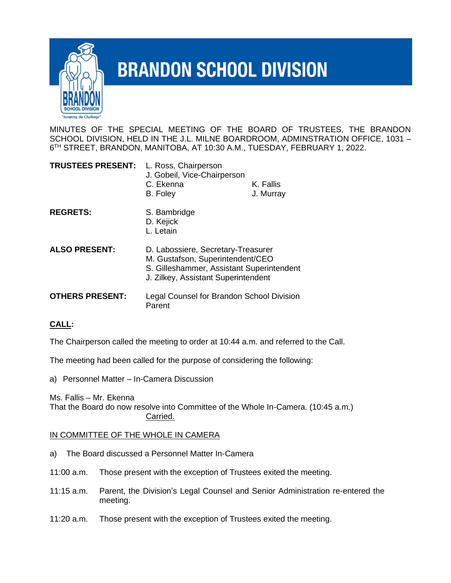

## **BRANDON SCHOOL DIVISION**

MINUTES OF THE SPECIAL MEETING OF THE BOARD OF TRUSTEES, THE BRANDON SCHOOL DIVISION, HELD IN THE J.L. MILNE BOARDROOM, ADMINSTRATION OFFICE, 1031 – 6 TH STREET, BRANDON, MANITOBA, AT 10:30 A.M., TUESDAY, FEBRUARY 1, 2022.

| <b>TRUSTEES PRESENT:</b> | L. Ross, Chairperson<br>J. Gobeil, Vice-Chairperson<br>C. Ekenna<br>B. Foley                                                                               | K. Fallis<br>J. Murray |
|--------------------------|------------------------------------------------------------------------------------------------------------------------------------------------------------|------------------------|
| <b>REGRETS:</b>          | S. Bambridge<br>D. Kejick<br>L. Letain                                                                                                                     |                        |
| <b>ALSO PRESENT:</b>     | D. Labossiere, Secretary-Treasurer<br>M. Gustafson, Superintendent/CEO<br>S. Gilleshammer, Assistant Superintendent<br>J. Zilkey, Assistant Superintendent |                        |
| <b>OTHERS PRESENT:</b>   | Legal Counsel for Brandon School Division<br>Parent                                                                                                        |                        |

## **CALL:**

The Chairperson called the meeting to order at 10:44 a.m. and referred to the Call.

The meeting had been called for the purpose of considering the following:

a) Personnel Matter – In-Camera Discussion

Ms. Fallis – Mr. Ekenna

That the Board do now resolve into Committee of the Whole In-Camera. (10:45 a.m.) Carried.

## IN COMMITTEE OF THE WHOLE IN CAMERA

- a) The Board discussed a Personnel Matter In-Camera
- 11:00 a.m. Those present with the exception of Trustees exited the meeting.
- 11:15 a.m. Parent, the Division's Legal Counsel and Senior Administration re-entered the meeting.
- 11:20 a.m. Those present with the exception of Trustees exited the meeting.